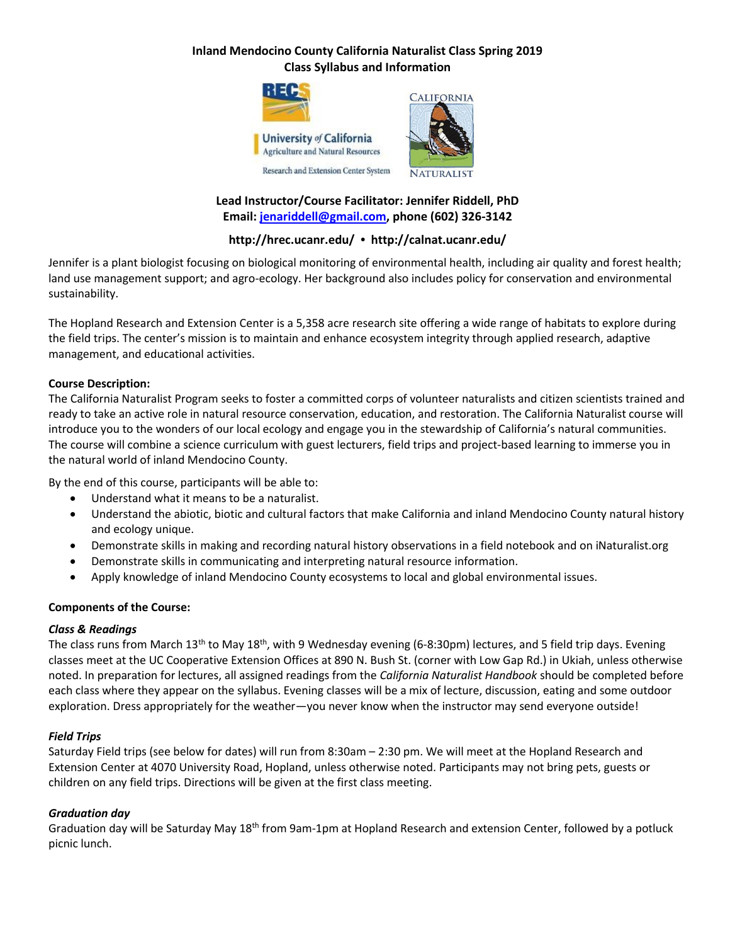

# **Lead Instructor/Course Facilitator: Jennifer Riddell, PhD Email: [jenariddell@gmail.com,](mailto:jenariddell@gmail.com) phone (602) 326-3142**

## **http://hrec.ucanr.edu/ • http://calnat.ucanr.edu/**

Jennifer is a plant biologist focusing on biological monitoring of environmental health, including air quality and forest health; land use management support; and agro-ecology. Her background also includes policy for conservation and environmental sustainability.

The Hopland Research and Extension Center is a 5,358 acre research site offering a wide range of habitats to explore during the field trips. The center's mission is to maintain and enhance ecosystem integrity through applied research, adaptive management, and educational activities.

#### **Course Description:**

The California Naturalist Program seeks to foster a committed corps of volunteer naturalists and citizen scientists trained and ready to take an active role in natural resource conservation, education, and restoration. The California Naturalist course will introduce you to the wonders of our local ecology and engage you in the stewardship of California's natural communities. The course will combine a science curriculum with guest lecturers, field trips and project-based learning to immerse you in the natural world of inland Mendocino County.

By the end of this course, participants will be able to:

- Understand what it means to be a naturalist.
- Understand the abiotic, biotic and cultural factors that make California and inland Mendocino County natural history and ecology unique.
- Demonstrate skills in making and recording natural history observations in a field notebook and on iNaturalist.org
- Demonstrate skills in communicating and interpreting natural resource information.
- Apply knowledge of inland Mendocino County ecosystems to local and global environmental issues.

#### **Components of the Course:**

#### *Class & Readings*

The class runs from March 13<sup>th</sup> to May 18<sup>th</sup>, with 9 Wednesday evening (6-8:30pm) lectures, and 5 field trip days. Evening classes meet at the UC Cooperative Extension Offices at 890 N. Bush St. (corner with Low Gap Rd.) in Ukiah, unless otherwise noted. In preparation for lectures, all assigned readings from the *California Naturalist Handbook* should be completed before each class where they appear on the syllabus. Evening classes will be a mix of lecture, discussion, eating and some outdoor exploration. Dress appropriately for the weather—you never know when the instructor may send everyone outside!

#### *Field Trips*

Saturday Field trips (see below for dates) will run from 8:30am – 2:30 pm. We will meet at the Hopland Research and Extension Center at 4070 University Road, Hopland, unless otherwise noted. Participants may not bring pets, guests or children on any field trips. Directions will be given at the first class meeting.

#### *Graduation day*

Graduation day will be Saturday May 18<sup>th</sup> from 9am-1pm at Hopland Research and extension Center, followed by a potluck picnic lunch.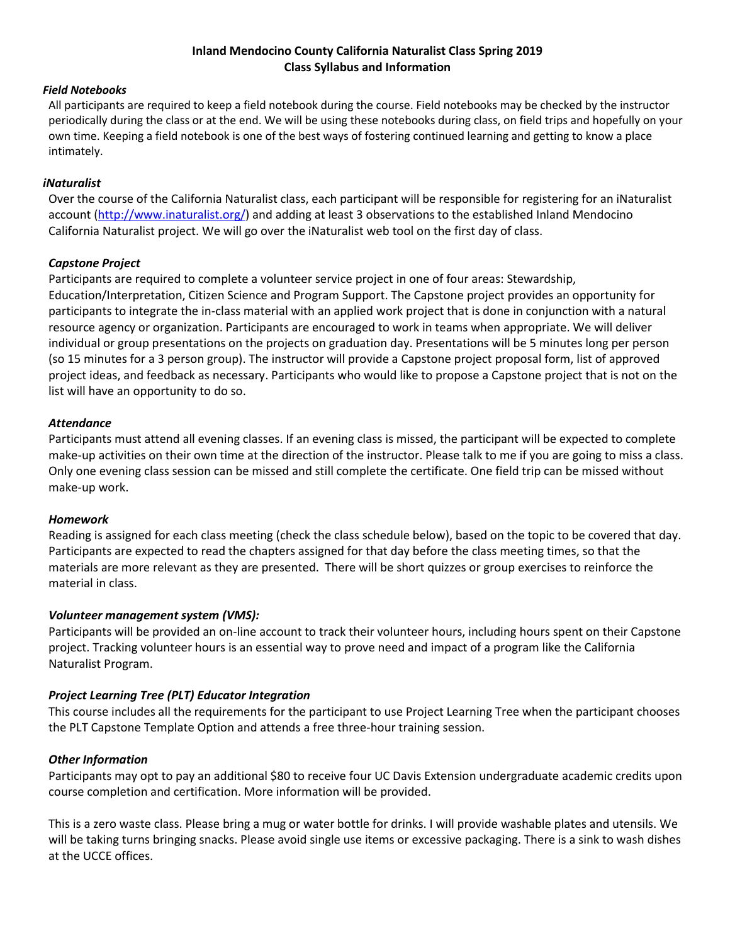#### *Field Notebooks*

All participants are required to keep a field notebook during the course. Field notebooks may be checked by the instructor periodically during the class or at the end. We will be using these notebooks during class, on field trips and hopefully on your own time. Keeping a field notebook is one of the best ways of fostering continued learning and getting to know a place intimately.

#### *iNaturalist*

Over the course of the California Naturalist class, each participant will be responsible for registering for an iNaturalist account [\(http://www.inaturalist.org/\)](http://www.inaturalist.org/) and adding at least 3 observations to the established Inland Mendocino California Naturalist project. We will go over the iNaturalist web tool on the first day of class.

#### *Capstone Project*

Participants are required to complete a volunteer service project in one of four areas: Stewardship, Education/Interpretation, Citizen Science and Program Support. The Capstone project provides an opportunity for participants to integrate the in-class material with an applied work project that is done in conjunction with a natural resource agency or organization. Participants are encouraged to work in teams when appropriate. We will deliver individual or group presentations on the projects on graduation day. Presentations will be 5 minutes long per person (so 15 minutes for a 3 person group). The instructor will provide a Capstone project proposal form, list of approved project ideas, and feedback as necessary. Participants who would like to propose a Capstone project that is not on the list will have an opportunity to do so.

#### *Attendance*

Participants must attend all evening classes. If an evening class is missed, the participant will be expected to complete make-up activities on their own time at the direction of the instructor. Please talk to me if you are going to miss a class. Only one evening class session can be missed and still complete the certificate. One field trip can be missed without make-up work.

#### *Homework*

Reading is assigned for each class meeting (check the class schedule below), based on the topic to be covered that day. Participants are expected to read the chapters assigned for that day before the class meeting times, so that the materials are more relevant as they are presented. There will be short quizzes or group exercises to reinforce the material in class.

#### *Volunteer management system (VMS):*

Participants will be provided an on-line account to track their volunteer hours, including hours spent on their Capstone project. Tracking volunteer hours is an essential way to prove need and impact of a program like the California Naturalist Program.

#### *Project Learning Tree (PLT) Educator Integration*

This course includes all the requirements for the participant to use Project Learning Tree when the participant chooses the PLT Capstone Template Option and attends a free three-hour training session.

#### *Other Information*

Participants may opt to pay an additional \$80 to receive four UC Davis Extension undergraduate academic credits upon course completion and certification. More information will be provided.

This is a zero waste class. Please bring a mug or water bottle for drinks. I will provide washable plates and utensils. We will be taking turns bringing snacks. Please avoid single use items or excessive packaging. There is a sink to wash dishes at the UCCE offices.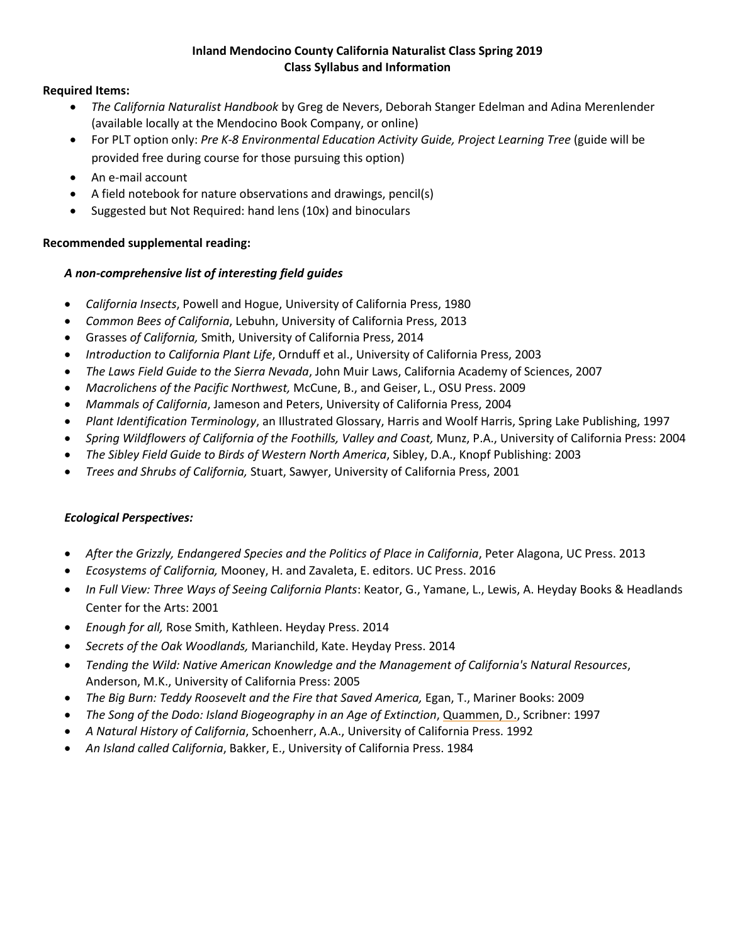### **Required Items:**

- *The California Naturalist Handbook* by Greg de Nevers, Deborah Stanger Edelman and Adina Merenlender (available locally at the Mendocino Book Company, or online)
- For PLT option only: *Pre K-8 Environmental Education Activity Guide, Project Learning Tree* (guide will be provided free during course for those pursuing this option)
- An e-mail account
- A field notebook for nature observations and drawings, pencil(s)
- Suggested but Not Required: hand lens (10x) and binoculars

## **Recommended supplemental reading:**

## *A non-comprehensive list of interesting field guides*

- *California Insects*, Powell and Hogue, University of California Press, 1980
- *Common Bees of California*, Lebuhn, University of California Press, 2013
- Grasses *of California,* Smith, University of California Press, 2014
- *Introduction to California Plant Life*, Ornduff et al., University of California Press, 2003
- *The Laws Field Guide to the Sierra Nevada*, John Muir Laws, California Academy of Sciences, 2007
- *Macrolichens of the Pacific Northwest,* McCune, B., and Geiser, L., OSU Press. 2009
- *Mammals of California*, Jameson and Peters, University of California Press, 2004
- *Plant Identification Terminology*, an Illustrated Glossary, Harris and Woolf Harris, Spring Lake Publishing, 1997
- *Spring Wildflowers of California of the Foothills, Valley and Coast,* Munz, P.A., University of California Press: 2004
- *The Sibley Field Guide to Birds of Western North America*, Sibley, D.A., Knopf Publishing: 2003
- *Trees and Shrubs of California,* Stuart, Sawyer, University of California Press, 2001

## *Ecological Perspectives:*

- *After the Grizzly, Endangered Species and the Politics of Place in California*, Peter Alagona, UC Press. 2013
- *Ecosystems of California,* Mooney, H. and Zavaleta, E. editors. UC Press. 2016
- *In Full View: Three Ways of Seeing California Plants*: Keator, G., Yamane, L., Lewis, A. Heyday Books & Headlands Center for the Arts: 2001
- *Enough for all,* Rose Smith, Kathleen. Heyday Press. 2014
- *Secrets of the Oak Woodlands,* Marianchild, Kate. Heyday Press. 2014
- *Tending the Wild: Native American Knowledge and the Management of California's Natural Resources*, Anderson, M.K., University of California Press: 2005
- *The Big Burn: Teddy Roosevelt and the Fire that Saved America,* Egan, T., Mariner Books: 2009
- *The Song of the Dodo: Island Biogeography in an Age of Extinction*, Quammen, D., Scribner: 1997
- *A Natural History of California*, Schoenherr, A.A., University of California Press. 1992
- *An Island called California*, Bakker, E., University of California Press. 1984